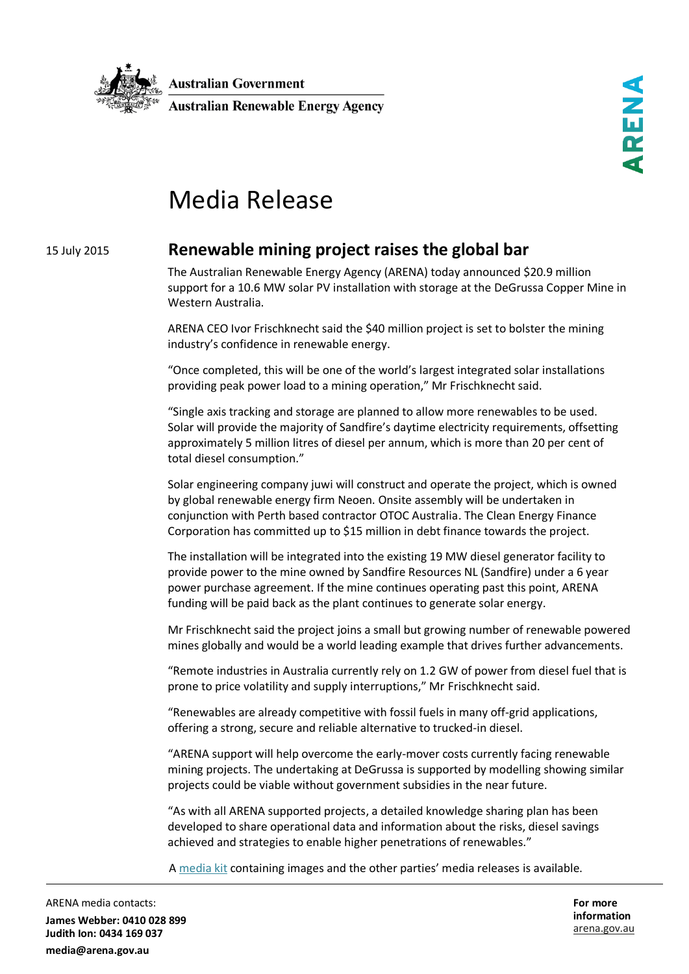

**Australian Government Australian Renewable Energy Agency**  REN

# Media Release

## 15 July 2015

# **Renewable mining project raises the global bar**

The Australian Renewable Energy Agency (ARENA) today announced \$20.9 million support for a 10.6 MW solar PV installation with storage at the DeGrussa Copper Mine in Western Australia.

ARENA CEO Ivor Frischknecht said the \$40 million project is set to bolster the mining industry's confidence in renewable energy.

"Once completed, this will be one of the world's largest integrated solar installations providing peak power load to a mining operation," Mr Frischknecht said.

"Single axis tracking and storage are planned to allow more renewables to be used. Solar will provide the majority of Sandfire's daytime electricity requirements, offsetting approximately 5 million litres of diesel per annum, which is more than 20 per cent of total diesel consumption."

Solar engineering company juwi will construct and operate the project, which is owned by global renewable energy firm Neoen. Onsite assembly will be undertaken in conjunction with Perth based contractor OTOC Australia. The Clean Energy Finance Corporation has committed up to \$15 million in debt finance towards the project.

The installation will be integrated into the existing 19 MW diesel generator facility to provide power to the mine owned by Sandfire Resources NL (Sandfire) under a 6 year power purchase agreement. If the mine continues operating past this point, ARENA funding will be paid back as the plant continues to generate solar energy.

Mr Frischknecht said the project joins a small but growing number of renewable powered mines globally and would be a world leading example that drives further advancements.

"Remote industries in Australia currently rely on 1.2 GW of power from diesel fuel that is prone to price volatility and supply interruptions," Mr Frischknecht said.

"Renewables are already competitive with fossil fuels in many off-grid applications, offering a strong, secure and reliable alternative to trucked-in diesel.

"ARENA support will help overcome the early-mover costs currently facing renewable mining projects. The undertaking at DeGrussa is supported by modelling showing similar projects could be viable without government subsidies in the near future.

"As with all ARENA supported projects, a detailed knowledge sharing plan has been developed to share operational data and information about the risks, diesel savings achieved and strategies to enable higher penetrations of renewables."

A [media kit](https://www.dropbox.com/sh/yb46q33v2myg45c/AAApTT9IMgCjFZTYut0125zia?dl=0) containing images and the other parties' media releases is available.